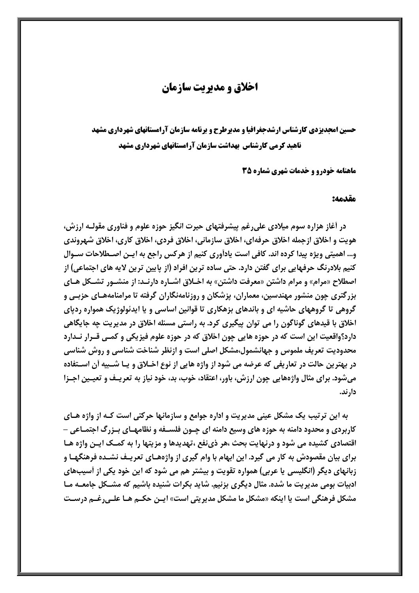# اخلاق و مدیریت سازمان

حسین امجدیزدی کارشناس ارشدجغرافیا و مدیرطرح و برنامه سازمان آرامستانهای شهرداری مشهد **ناهید کرمی کارشناس بهداشت سازمان آرامستانهای شهرداری مشهد** 

**ماهنامه خودرو و خدمات شهری شماره 35** 

#### مقدمه:

در آغاز هزاره سوم میلادی علی رغم پیشرفتهای حیرت انگیز حوزه علوم و فناوری مقولـه ارزش، هویت و اخلاق ازجمله اخلاق حرفهای، اخلاق سازمانی، اخلاق فردی، اخلاق کاری، اخلاق شهروندی و... اهمیتی ویژه پیدا کرده اند. کافی است یادآوری کنیم از هرکس راجع به ایـن اصـطلاحات سـوال کنیم بلادرنگ حرفهایی برای گفتن دارد. حتی ساده ترین افراد (از پایین ترین لایه های اجتماعی) از اصطلاح «مرام» و مرام داشتن «معرفت داشتن» به اخــلاق اشــاره دارنــد: از منشــور تشــكل هــاي بزرگتری چون منشور مهندسین، معماران، پزشکان و روزنامهنگاران گرفته تا مرامنامههـای حزبـی و گروهی تا گروههای حاشیه ای و باندهای بزهکاری تا قوانین اساسی و یا ایدئولوژیک همواره ردیای اخلاق با قیدهای گوناگون را می توان پیگیری کرد. به راستی مسئله اخلاق در مدیریت چه جایگاهی دارد؟واقعیت این است که در حوزه هایی چون اخلاق که در حوزه علوم فیزیکی و کمـی قــرار نــدارد محدودیت تعریف ملموس و جهانشمول،مشکل اصلی است و ازنظر شناخت شناسی و روش شناسی در بهترین حالت در تعاریفی که عرضه می شود از واژه هایی از نوع اخـلاق و یـا شـبیه أن اسـتفاده میشود. برای مثال واژههایی چون ارزش، باور، اعتقاد، خوب، بد، خود نیاز به تعریـف و تعیـین اجـزا دار ند.

به این ترتیب یک مشکل عینی مدیریت و اداره جوامع و سازمانها حرکتی است کـه از واژه هـای کاربردی و محدود دامنه به حوزه های وسیع دامنه ای چـون فلســفه و نظامهــای بــزرگ اجتمــاعی -اقتصادی کشیده می شود و درنهایت بحث ،هر ذی نفع ،تهدیدها و مزیتها را به کمـک ایـن واژه هـا برای بیان مقصودش به کار می گیرد. این ابهام با وام گیری از واژههـای تعریـف نشـده فرهنگهـا و زبانهای دیگر (انگلیسی یا عربی) همواره تقویت و بیشتر هم می شود که این خود یکی از آسیبهای ادبیات بومی مدیریت ما شده. مثال دیگری بزنیم. شاید بکرات شنیده باشیم که مشـکل جامعـه مـا مشکل فرهنگی است یا اینکه «مشکل ما مشکل مدیریتی است» ایـن حکـم هـا علـی,رغـم درسـت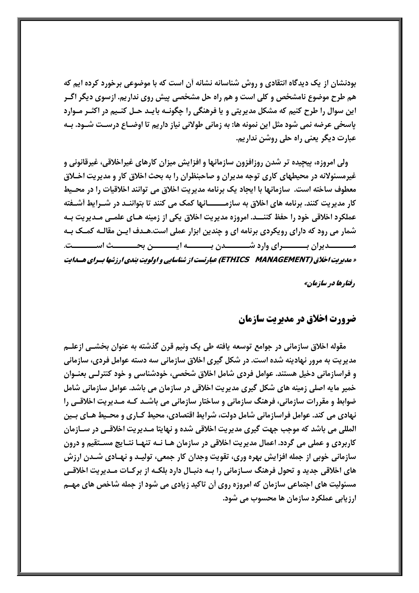بودنشان از یک دیدگاه انتقادی و روش شناسانه نشانه آن است که با موضوعی برخورد کرده ایم که هم طرح موضوع نامشخص و کلی است و هم راه حل مشخصی پیش روی نداریم. ازسوی دیگر اگـر این سوال را طرح کنیم که مشکل مدیریتی و یا فرهنگی را چگونـه بایـد حـل کنـیم در اکثـر مـوارد پاسخی عرضه نمی شود مثل این نمونه ها: به زمانی طولانی نیاز داریم تا اوضــاع درسـت شــود. بــه عبارت دیگر یعنی راه حلی روشن نداریم.

ولی امروزه، پیچیده تر شدن روزافزون سازمانها و افزایش میزان کارهای غیراخلاقی، غیرقانونی و غیرمسئولانه در محیطهای کاری توجه مدیران و صاحبنظران را به بحث اخلاق کار و مدیریت اخـلاق معطوف ساخته است. سازمانها با ایجاد یک برنامه مدیریت اخلاق می توانند اخلاقیات را در محـیط کار مدیریت کنند. برنامه های اخلاق به سازمـــــانها کمک می کنند تا بتواننـد در شـرایط آشـفته عملکرد اخلاقی خود را حفظ کننـــد. امروزه مدیریت اخلاق یکی از زمینه هــای علمــی مــدیریت بــه شمار می رود که دارای رویکردی برنامه ای و چندین ابزار عملی است.هـدف ایـن مقالـه کمـک بـه مــــــــدیران بـــــــــرای وارد شـــــــــدن بــــــــه ایـــــــــن بحــــــــث اســــــــت. « مدیریت اخلاق (ETHICS MANAGEMENT) عبارتست از شناسایی و اولویت بندی ارزشها بسرای هسدایت

رفتارها در سازمان»

## ضرورت اخلاق در مدیریت سازمان

مقوله اخلاق سازمانی در جوامع توسعه یافته طی یک ونیم قرن گذشته به عنوان بخشـی ازعلـم مدیریت به مرور نهادینه شده است. در شکل گیری اخلاق سازمانی سه دسته عوامل فردی، سازمانی و فراسازمانی دخیل هستند. عوامل فردی شامل اخلاق شخصی، خودشناسی و خود کنترلـی بعنــوان خمیر مایه اصلی زمینه های شکل گیری مدیریت اخلاقی در سازمان می باشد. عوامل سازمانی شامل ضوابط و مقررات سازمانی، فرهنگ سازمانی و ساختار سازمانی می باشـد کـه مـدیریت اخلاقـی را نهادی می کند. عوامل فراسازمانی شامل دولت، شرایط اقتصادی، محیط کـاری و محـیط هـای بـین المللی می باشد که موجب جهت گیری مدیریت اخلاقی شده و نهایتا مـدیریت اخلاقـی در سـازمان کاربردی و عملی می گردد. اعمال مدیریت اخلاقی در سازمان هـا نــه تنهـا نتــایج مســتقیم و درون سازمانی خوبی از جمله افزایش بهره وری، تقویت وجدان کار جمعی، تولیـد و نهـادی شـدن ارزش های اخلاقی جدید و تحول فرهنگ ســازمانی را بــه دنبــال دارد بلكــه از بركــات مــديريت اخلاقــی مسئولیت های اجتماعی سازمان که امروزه روی آن تاکید زیادی می شود از جمله شاخص های مهـم ارزیابی عملکرد سازمان ها محسوب می شود.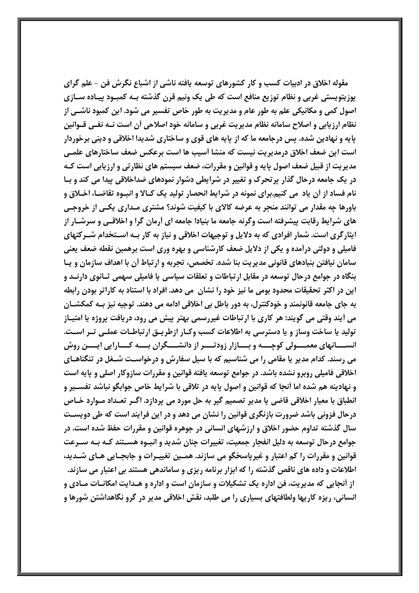مقوله اخلاق در ادبیات کسب و کار کشورهای توسعه یافته ناشی از اشباع نگرش فن - علم گرای یوزیتویستی غربی و نظام توزیع منافع است که طی یک ونیم قرن گذشته بـه کمبـود پیـاده سـازی اصول کمی و مکانیکی علم به طور عام و مدیریت به طور خاص تفسیر می شود. این کمبود ناشــی از نظام ارزیابی و اصلاح سامانه نظام مدیریت غربی و سامانه خود اصلاحی أن است نـه نفـی قــوانین پایه و نهادین شده. پس درجامعه ما که از پایه های قوی و ساختاری شدیدا اخلاقی و دینی برخوردار است این ضعف اخلاق درمدیریت نیست که منشا أسیب ها است برعکس ضعف ساختارهای علمـی مدیریت از قبیل ضعف اصول یایه و قوانین و مقررات، ضعف سیستم های نظارتی و ارزیابی است کـه در یک جامعه درحال گذار پرتحرک و تغییر در شرایطی دشوار نمودهای ضداخلاقی پیدا می کند و بـا نام فساد از آن یاد می کنیم.برای نمونه در شرایط انحصار تولید یک کـالا و انبـوه تقاضـا، اخـلاق و باورها چه مقدار می توانند منجر به عرضه کالای با کیفیت شوند؟ مشتری مـداری یکـی از خروجـی های شرایط رقابت پیشرفته است وگرنه جامعه ما بنیادا جامعه ای آرمان گرا و اخلاقـی و سرشـار از ایثارگری است. شمار افرادی که به دلایل و توجیهات اخلاقی و نیاز به کار بـه اسـتخدام شـرکتهای فامیلی و دولتی درآمده و یکی از دلایل ضعف کارشناسی و بهره وری است برهمین نقطه ضعف یعنی سامان نیافتن بنیادهای قانونی مدیریت بنا شده. تخصص، تجربه و ارتباط آن با اهداف سازمان و پـا بنگاه در جوامع درحال توسعه در مقابل ارتباطات و تعلقات سیاسی یا فامیلی سهمی ثــانوی دارنــد و این در اکثر تحقیقات محدود بومی ما نیز خود را نشان ًمی دهد. افراد با استناد به کاراتر بودن رابطه به جای جامعه قانونمند و خودکنترل، به دور باطل بی اخلاقی ادامه می دهند. توجیه نیز بـه کمکشــان می أیند وقتی می گویند: هر کاری با ارتباطات غیررسمی بهتر پیش می رود، دریافت پروژه یا امتیــاز تولید یا ساخت وساز و یا دسترسی به اطلاعات کسب وک|ر ازطریـق ارتباطـات عملـی تـر اسـت. انســــانهای معمــــولی کوچــــه و بــــازار زودتــــر از دانشــــگران بــــه کــــارایی ایــــن روش می رسند. کدام مدیر یا مقامی را می شناسیم که با سیل سفارش و درخواسـت شـغل در تنگناهـای اخلاقی فامیلی روبرو نشده باشد. در جوامع توسعه یافته قوانین و مقررات سازوکار اصلی و پایه است و نهادینه هم شده اما أنجا که قوانین و اصول پایه در تلاقی با شرایط خاص جوابگو نباشد تفسـیر و انطباق با معیار اخلاقی قاضی یا مدیر تصمیم گیر به حل مورد می پردازد. اگـر تعـداد مـوارد خـاص درحال فزونی باشد ضرورت بازنگری قوانین را نشان می دهد و در این فرایند است که طی دویسـت سال گذشته تداوم حضور اخلاق و ارزشهای انسانی در جوهره قوانین و مقررات حفظ شده است. در جوامع درحال توسعه به دلیل انفجار جمعیت، تغییرات چنان شدید و انبـوه هسـتند کـه بـه ســرعت قوانین و مقررات را کم اعتبار و غیرپاسخگو می سازند. همـین تغییـرات و جابجـایی هـای شـدید، اطلاعات و داده های ناقص گذشته را که ابزار برنامه ریزی و ساماندهی هستند بی اعتبار می سازند. از أنجايي كه مديريت، فن اداره يک تشکيلات و سازمان است و اداره و هـدايت امکانــات مــادي و انسانی، ریزه کاریها ولطافتهای بسیاری را می طلبد، نقش اخلاقی مدیر در گرو نگاهداشتن شورها و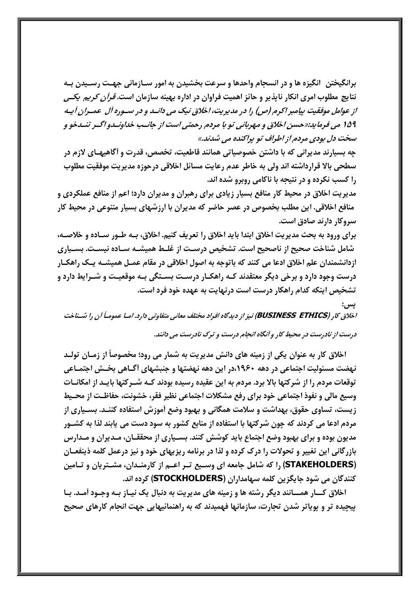برانگیختن ِ انگیزه ها و در انسجام واحدها و سرعت بخشیدن به امور ســازمانی جهــت رســیدن بــه نتایج مطلوب امری انکار نایذیر و حائز اهمیت فراوان در اداره بهینه سازمان است. *قرآن کریم یکسی* از عوامل موفقیت بیامبر اکرم (ص) را در مدیریت، اخلاق نیک می دانــد و در ســوره آل عمــران آپــه ۱۵۹ می فرماید:«حسن اخلاق و مهربانی تو با مردم رحمتی است از جانـب خداونـدو اگـر تنـدخو و سخت دل بودی مردم از اطراف تو پراکنده می شدند.»

چه بسیارند مدیرانی که با داشتن خصوصیاتی همانند قاطعیت، تخصص، قدرت و آگاهیهـای لازم در سطحي بالا قرارداشته اند ولي به خاطر عدم رعايت مسائل اخلاقي درحوزه مديريت موفقيت مطلوب را کسب نکرده و در نتیجه با ناکامی روبرو شده اند.

مدیریت اخلاق در محیط کار منافع بسیار زیادی برای رهبران و مدیران دارد؛ اعم از منافع عملکردی و منافع اخلاقی. این مطلب بخصوص در عصر حاضر که مدیران با ارزشهای بسیار متنوعی در محیط کار سروکار دارند صادق است.

برای ورود به بحث مدیریت اخلاق ابتدا باید اخلاق را تعریف کنیم. اخلاق، بـه طـور سـاده و خلاصـه، شامل شناخت صحیح از ناصحیح است. تشخیص درسـت از غلـط همیشـه سـاده نیسـت. بسـیاری ازدانشمندان علم اخلاق ادعا می کنند که باتوجه به اصول اخلاقی در مقام عمـل همیشـه یـک راهکـار درست وجود دارد و برخی دیگر معتقدند کـه راهکـار درسـت بسـتگی بـه موقعیـت و شــرایط دارد و تشخیص اینکه کدام راهکار درست است درنهایت به عهده خود فرد است.

يس : اخلاق کار (BUSINESS ETHICS) نیز از دیدگاه افراد مختلف معانی متفاوتی دارد. امـا عمومـاً آن را شـناخت درست از نادرست در محیط کار و آنگاه انجام درست و ترک نادرست می دانند.

اخلاق کار به عنوان یکی از زمینه های دانش مدیریت به شمار می رود؛ مخصوصاً از زمـان تولـد نهضت مسئولیت اجتماعی در دهه ۱۹۶۰،در این دهه نهضتها و جنبشهای أگـاهی بخــش اجتمـاعی توقعات مردم را از شرکتها بالا برد. مردم به این عقیده رسیده بودند کـه شـرکتها بایـد از امکانــات وسیع مالی و نفوذ اجتماعی خود برای رفع مشکلات اجتماعی نظیر فقر، خشونت، حفاظـت از محـیط زیست، تساوی حقوق، بهداشت و سلامت همگانی و بهبود وضع آموزش استفاده کننـد. بسـیاری از مردم ادعا می کردند که چون شرکتها با استفاده از منابع کشور به سود دست می پابند لذا به کشـور مدیون بوده و برای بهبود وضع اجتماع باید کوشش کنند. بسـیاری از محققـان، مـدیران و مـدارس بازرگانی این تغییر و تحولات را درک کرده و لذا در برنامه ریزیهای خود و نیز درعمل کلمه ذینفعـان (STAKEHOLDERS) را که شامل جامعه ای وسـیع تـر اعـم از کارمنـدان، مشـتریان و تـامین كنندگان می شود جایگزین كلمه سهامداران (STOCKHOLDERS) كرده اند.

اخلاق کــار همــانند دیگر رشته ها و زمینه های مدیریت به دنبال یک نیـاز بـه وجـود آمـد. بـا پیچیده تر و پوپاتر شدن تجارت، سازمانها فهمیدند که به راهنمائیهایی جهت انجام کارهای صحیح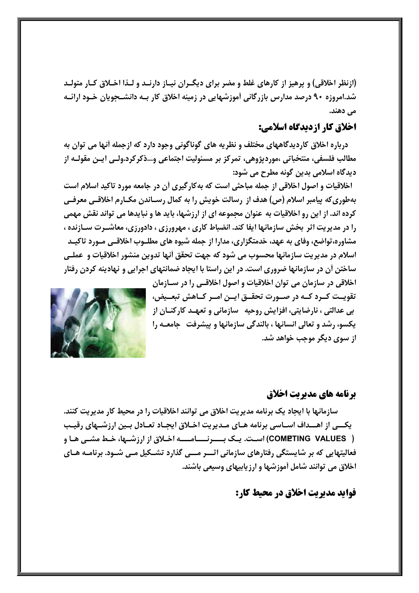(ازنظر اخلاقی) و پرهیز از کارهای غلط و مضر برای دیگـران نیـاز دارنـد و لـذا اخـلاق کـار متولـد شد.امروزه ۹۰ درصد مدارس بازرگانی آموزشهایی در زمینه اخلاق کار بـه دانشــجویان خــود ارائــه می دهند.

## اخلاق کار ازدیدگاه اسلامی:

درباره اخلاق کاردیدگاههای مختلف و نظریه های گوناگونی وجود دارد که ازجمله أنها می توان به مطالب فلسفي، منتخباتي ،موردپژوهي، تمركز بر مسئوليت اجتماعي و...ذكركرد.ولـي ايـن مقولـه از دیدگاه اسلامی بدین گونه مطرح می شود:

اخلاقیات و اصول اخلاقی از جمله مباحثی است که بهکارگیری آن در جامعه مورد تاکید اسلام است بهطوری که پیامبر اسلام (ص) هدف از رسالت خویش را به کمال رسـاندن مکـارم اخلاقــی معرفــی کرده اند. از این رو اخلاقیات به عنوان مجموعه ای از ارزشها، باید ها و نبایدها می تواند نقش مهمی را در مدیریت اثر بخش سازمانها ایفا کند. انضباط کاری ، مهرورزی ، دادورزی، معاشـرت سـازنده ، مشاوره،تواضع، وفای به عهد، خدمتگزاری، مدارا از جمله شیوه های مطلـوب اخلاقـی مـورد تاکیـد اسلام در مديريت سازمانها محسوب مي شود كه جهت تحقق آنها تدوين منشور اخلاقيات و عملـي ساختن آن در سازمانها ضروری است. در این راستا با ایجاد ضمانتهای اجرایی و نهادینه کردن رفتار

> اخلاقی در سازمان می توان اخلاقیات و اصول اخلاقــی را در ســازمان تقویــت کــرد کــه در صــورت تحقــق ایــن امــر کــاهش تبعــیض، بی عدالتی ، نارضایتی، افزایش روحیه \_سازمانی و تعهـد کارکنــان از **یکسو، رشد و تعالی انسانها ، بالندگی سازمانها و پیشرفت حامعـه را** از سوي ديگر موجب خواهد شد.



## **برنامه های مدیریت اخلاق**

سازمانها با ایجاد یک برنامه مدیریت اخلاق می توانند اخلاقیات را در محیط کار مدیریت کنند. یکسی از اهسداف اسـاسی برنامه هـای مـدیریت اخـلاق ایجـاد تعـادل بـین ارزشــهای رقیـب ( COMETING VALUES) است. یک بــــرنــــامــــه اخـلاق از ارزشــها، خـط مشــی هـا و فعالیتهایی که بر شایستگی رفتارهای سازمانی اثـــر مـــی گذارد تشــکیل مــی شــود. برنامــه هــای اخلاق می توانند شامل آموزشها و ارزیابیهای وسیعی باشند.

فواید مدیریت اخلاق در محیط کار: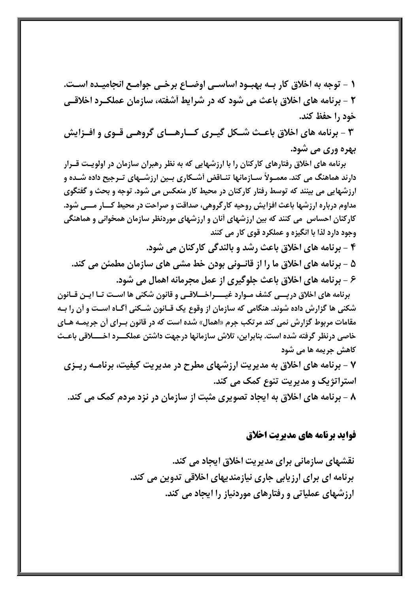١ - توجه به اخلاق كار بـه بهبـود اساسـي اوضــاع برخـي جوامـع انجاميـده اســت. ۲ - برنامه های اخلاق باعث می شود که در شرایط أشفته، سازمان عملک رد اخلاقیی خود ,ا حفظ کند.

۳ - برنامه های اخلاق باعـث شـكل گیـری كــارهــای گروهـی قـوی و افـزایش **بهره وری می شود.** 

برنامه های اخلاق رفتارهای کارکنان را با ارزشهایی که به نظر رهبران سازمان در اولویت قــرار دارند هماهنگ می کند. معمـولاً ســازمانها تنــاقض أشــکاری بــین ارزشــهای تــرجیح داده شــده و ارزشهایی می بینند که توسط رفتار کارکنان در محیط کار منعکس می شود. توجه و بحث و گفتگوی مداوم درباره ارزشها باعث افزایش روحیه کارگروهی، صداقت و صراحت در محیط کـــار مـــی شود. کارکنان احساس ً می کنند که بین ارزشهای آنان و ارزشهای موردنظر سازمان همخوانی و هماهنگی وجود دارد لذا با انگیزه و عملکرد قوی کار می کنند

۴ - برنامه های اخلاق باعث رشد و بالندگی کارکنان می شود. ۵ - برنامه های اخلاق ما را از قانــونی بودن خط مشی های سازمان مطمئن می کند. ۶ - برنامه های اخلاق باعث جلوگیری از عمل مجرمانه اهمال می شود.

برنامه های اخلاق درپسی کشف مـوارد غیــــراخــلاقـی و قانون شکنی ها اسـت تـا ایـن قـانون شکنی ها گزارش داده شوند. هنگامی که سازمان از وقوع یک قــانون شــکنی آگــاه اسـت و آن را بــه مقامات مربوط گزارش نمی کند مرتکب جرم «اهمال» شده است که در قانون بـرای آن جریمـه هـای کاهش جریمه ها می شود

۷ - برنامه های اخلاق به مدیریت ارزشهای مطرح در مدیریت کیفیت، برنامـه ریـزی استراتژیک و مدیریت تنوع کمک می کند.

۸ - برنامه های اخلاق به ایجاد تصویری مثبت از سازمان در نزد مردم کمک می کند.

## فواید برنامه های مدیریت اخلاق

نقشهای سازمانی برای مدیریت اخلاق ایجاد می کند. برنامه ای برای ارزیابی جاری نیازمندیهای اخلاقی تدوین می کند. ارزشهای عملیاتی و رفتارهای موردنیاز را ایجاد می کند.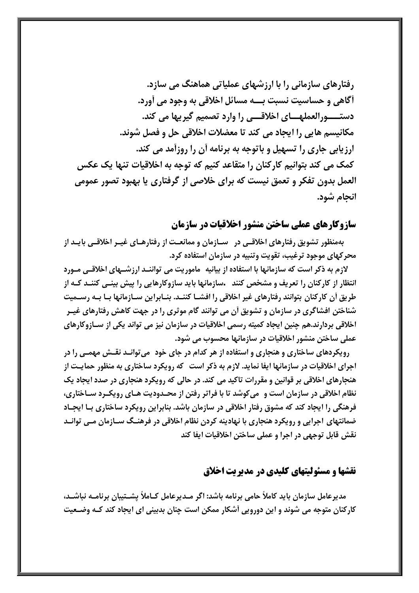رفتارهای سازمانی را با ارزشهای عملیاتی هماهنگ می سازد. أگاهي و حساسيت نسبت بــه مسائل اخلاقي به وجود مي آورد. دستــــورالعملهــــاي اخلاقــــي را وارد تصميم گيريها مي كند. مكانيسم هايي را ايجاد مي كند تا معضلات اخلاقي حل و فصل شوند. ارزیابی جاری را تسهیل و باتوجه به برنامه آن را روزآمد می کند. کمک می کند بتوانیم کارکنان را متقاعد کنیم که توجه به اخلاقیات تنها یک عکس العمل بدون تفکر و تعمق نیست که برای خلاصی از گرفتاری یا بهبود تصور عمومی انجام شود.

#### سازوکارهای عملی ساختن منشور اخلاقیات در سازمان

بهمنظور تشویق رفتارهای اخلاقـی در سـازمان و ممانعـت از رفتارهـای غیـر اخلاقـی بایـد از محرکهای موجود ترغیب، تقویت وتنبیه در سازمان استفاده کرد.

لازم به ذکر است که سازمانها با استفاده از بیانیه ماموریت می تواننـد ارزشــهای اخلاقــی مــورد انتظار از کارکنان را تعریف و مشخص کنند -سازمانها باید سازوکارهایی را پیش بینـی کننـد کـه از طریق أن کارکنان بتوانند رفتارهای غیر اخلاقی را افشـا کننـد. بنـابراین سـازمانها بـا بـه رســمیت شناختن افشاگری در سازمان و تشویق آن می توانند گام موثری را در جهت کاهش رفتارهای غیـر اخلاقی بردارند.هم چنین ایجاد کمیته رسمی اخلاقیات در سازمان نیز می تواند یکی از سـازوکارهای عملی ساختن منشور اخلاقیات در سازمانها محسوب می شود.

رویکردهای ساختاری و هنجاری و استفاده از هر کدام در جای خود ً می توانـد نقـش مهمـی را در اجرای اخلاقیات در سازمانها ایفا نماید. لازم به ذکر است که رویکرد ساختاری به منظور حمایـت از هنجارهای اخلاقی بر قوانین و مقررات تاکید می کند. در حالی که رویکرد هنجاری در صدد ایجاد یک نظام اخلاقی در سازمان است و میکوشد تا با فراتر رفتن از محـدودیت هـای رویکـرد سـاختاری، فرهنگی را ایجاد کند که مشوق رفتار اخلاقی در سازمان باشد. بنابراین رویکرد ساختاری بـا ایجـاد ضمانتهای اجرایی و رویکرد هنجاری با نهادینه کردن نظام اخلاقی در فرهنـگ ســازمان مــی توانــد نقش قابل توجهي در اجرا و عملي ساختن اخلاقيات ايفا كند

## نقشها و مسئولیتهای کلیدی در مدیریت اخلاق

مدیرعامل سازمان باید کاملاً حامی برنامه باشد: اگر مـدیرعامل کـاملاً پشـتیبان برنامـه نباشـد، کارکنان متوجه می شوند و این دورویی آشکار ممکن است چنان بدبینی ای ایجاد کند کـه وضـعیت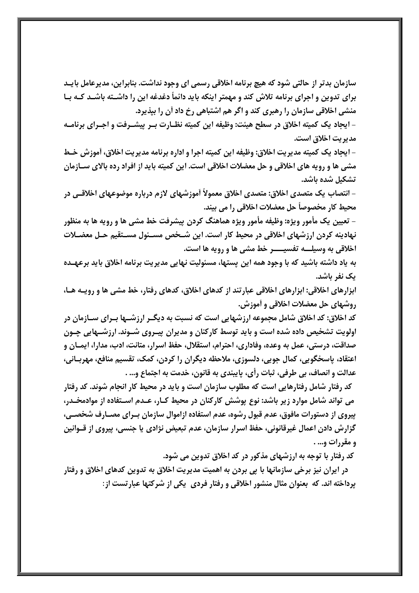سازمان بدتر از حالتی شود که هیچ برنامه اخلاقی رسمی ای وجود نداشت. بنابراین، مدیرعامل بایـد برای تدوین و اجرای برنامه تلاش کند و مهمتر اینکه باید دائمأ دغدغه این را داشـته باشـد کـه بـا منشی اخلاقی سازمان را رهبری کند و اگر هم اشتباهی رخ داد آن را بیذیرد.

- ایجاد یک کمیته اخلاق در سطح هیئت: وظیفه این کمیته نظـارت بـر پیشـرفت و اجـرای برنامـه مديريت اخلاق است.

- ايجاد يک کميته مديريت اخلاق: وظيفه اين کميته اجرا و اداره برنامه مديريت اخلاق، آموزش خـط مشي ها و رويه هاي اخلاقي و حل معضلات اخلاقي است. اين كميته بايد از افراد رده بالاي ســازمان تشكيل شده باشد.

– انتصاب یک متصدی اخلاق: متصدی اخلاق معمولاً آموزشهای لازم درباره موضوعهای اخلاقــی در محيط كار مخصوصاً حل معضلات اخلاقي را مي بيند.

– تعیین یک مأمور ویژه: وظیفه مأمور ویژه هماهنگ کردن پیشرفت خط مشی ها و رویه ها به منظور نهادینه کردن ارزشهای اخلاقی در محیط کار است. این شـخص مسـئول مسـتقیم حـل معضـلات اخلاقي به وسيلــه تفسيــــر خط مشي ها و رويه ها است.

به یاد داشته باشید که با وجود همه این پستها، مسئولیت نهایی مدیریت برنامه اخلاق باید برعهـده یک نفر باشد.

ابزارهای اخلاقی: ابزارهای اخلاقی عبارتند از کدهای اخلاق، کدهای رفتار، خط مشی ها و رویـه هـا، روشهای حل معضلات اخلاقی و آموزش.

کد اخلاق: کد اخلاق شامل مجموعه ارزشهایی است که نسبت به دیگـر ارزشـها بـرای سـازمان در اولویت تشخیص داده شده است و باید توسط کارکنان و مدیران پیـروی شـوند. ارزشــهایی چـون صداقت، درستي، عمل به وعده، وفاداري، احترام، استقلال، حفظ اسرار، متانت، ادب، مدارا، ايمــان و اعتقاد، پاسخگویی، کمال جویی، دلسوزی، ملاحظه دیگران را کردن، کمک، تقسیم منافع، مهربـانی، عدالت و انصاف، بي طرفي، ثبات رأي، پايبندي به قانون، خدمت به اجتماع و... .

کد رفتار شامل رفتارهایی است که مطلوب سازمان است و باید در محیط کار انجام شوند. کد رفتار می تواند شامل موارد زیر باشد: نوع پوشش کارکنان در محیط کـار، عـدم اسـتفاده از موادمخـدر، پیروی از دستورات مافوق، عدم قبول رشوه، عدم استفاده ازاموال سازمان بـرای مصـارف شخصـی، گزارش دادن اعمال غیرقانونی، حفظ اسرار سازمان، عدم تبعیض نژادی یا جنسی، پیروی از قــوانین و مقررات و... .

کد رفتار با توجه به ارزشهای مذکور در کد اخلاق تدوین می شود.

در ایران نیز برخی سازمانها با پی بردن به اهمیت مدیریت اخلاق به تدوین کدهای اخلاق و رفتار یرداخته اند. که بعنوان مثال منشور اخلاقی و رفتار فردی یکی از شرکتها عبارتست از: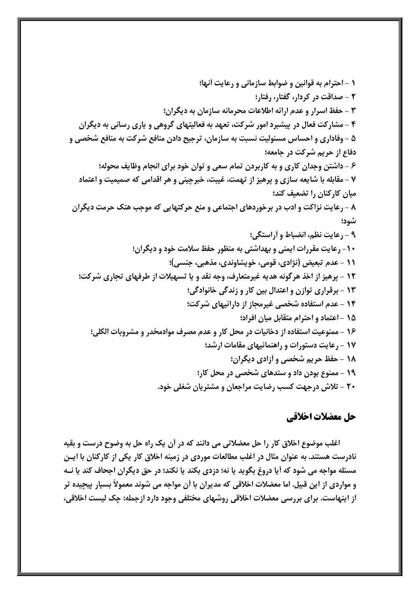# حل معضلات اخلاقي

اغلب موضوع اخلاق کار را حل معضلاتی می دانند که در آن یک راه حل به وضوح درست و بقیه نادرست هستند. به عنوان مثال در اغلب مطالعات موردی در زمینه اخلاق کار یکی از کارکنان با ایـن مسئله مواجه می شود که آیا دروغ بگوید یا نه؛ دزدی بکند یا نکند؛ در حق دیگران اجحاف کند یا نــه و مواردی از این قبیل. اما معضلات اخلاقی که مدیران با آن مواجه می شوند معمولاً بسیار پیچیده تر از اینهاست. برای بررسی معضلات اخلاقی روشهای مختلفی وجود دارد ازجمله: چک لیست اخلاقی،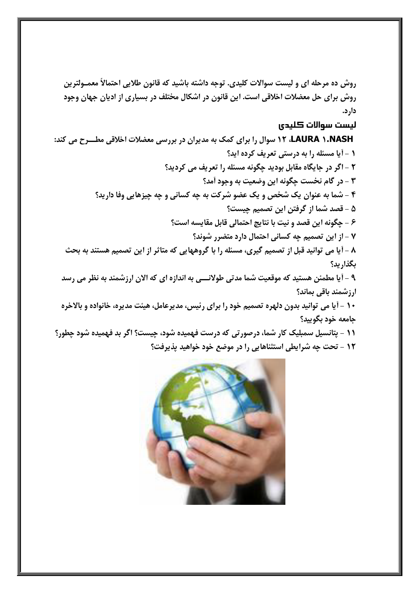روش ده مرحله ای و لیست سوالات کلیدی. توجه داشته باشید که قانون طلایی احتمالاً معمـولترین روش برای حل معضلات اخلاقی است. این قانون در اشکال مختلف در بسیاری از ادیان جهان وجود دار د.

#### ليست سوالات كليدى

LAURA ۱.NASH، ۱۲ سوال را برای کمک به مدیران در بررسی معضلات اخلاقی مطـــرح می کند: 1 - آیا مسئله را به درستی تعریف کرده اید؟ ٢ - اگر در جايگاه مقابل بوديد چگونه مسئله را تعريف مي كرديد؟ ۳ - در گام نخست چگونه این وضعیت به وجود آمد؟ ۴ - شما به عنوان یک شخص و یک عضو شرکت به چه کسانی و چه چیزهایی وفا دارید؟ ۵ – قصد شما از گرفتن این تصمیم چیست؟ ۶ - چگونه این قصد و نیت با نتایج احتمالی قابل مقایسه است؟ ۷ – از این تصمیم جه کسانی احتمال دارد متضرر شوند؟ ۸ - آیا می توانید قبل از تصمیم گیری، مسئله را با گروههایی که متاثر از این تصمیم هستند به بحث بگذار يد؟ ۹ - آیا مطمئن هستید که موقعیت شما مدتی طولانـــی به اندازه ای که الان ارزشمند به نظر می رسد ارزشمند باقی بماند؟ ۱۰ - آیا می توانید بدون دلهره تصمیم خود را برای رئیس، مدیرعامل، هیئت مدیره، خانواده و بالاخره جامعه خود بگوييد؟ 11 – پتانسیل سمبلیک کار شما، درصورتی که درست فهمیده شود، چیست؟ اگر بد فهمیده شود چطور؟ 1۲ - تحت چه شرایطی استثناهایی را در موضع خود خواهید پذیرفت؟

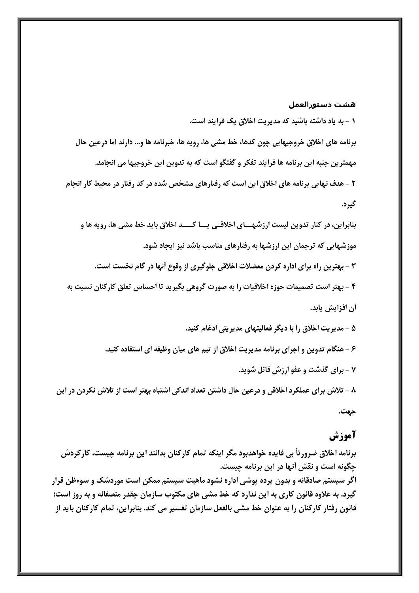#### هشت دستورالعمل

١ - به ياد داشته باشيد كه مديريت اخلاق يك فرايند است.

برنامه های اخلاق خروجیهایی چون کدها، خط مشی ها، رویه ها، خبرنامه ها و… دارند اما درعین حال مهمترین جنبه این برنامه ها فرایند تفکر و گفتگو است که به تدوین این خروجیها می انجامد.

**۲** – هدف نهایی برنامه های اخلاق این است که رفتارهای مشخص شده در کد رفتار در محیط کار انجام گیرد.

بنابراین، در کنار تدوین لیست ارزشهـــای اخلاقــی یـــا کـــــد اخلاق باید خط مشی ها، رویه ها و موزشهایی که ترجمان این ارزشها به رفتارهای مناسب باشد نیز ایجاد شود. ۳ - بهترین راه برای اداره کردن معضلات اخلاقی جلوگیری از وقوع آنها در گام نخست است. ۴ - بهتر است تصمیمات حوزه اخلاقیات را به صورت گروهی بگیرید تا احساس تعلق کارکنان نسبت به أن افزايش يابد. ۵ - مديريت اخلاق را با ديگر فعاليتهاي مديريتي ادغام كنيد.

۶ – هنگام تدوین و اجرای برنامه مدیریت اخلاق از تیم های میان وظیفه ای استفاده کنید.

۷ - برای گذشت و عفو ارزش قائل شوید.

۸ - تلاش برای عملکرد اخلاقی و درعین حال داشتن تعداد اندکی اشتباه بهتر است از تلاش نکردن در این جهت.

# آموزش

برنامه اخلاق ضرورتاً بی فایده خواهدبود مگر اینکه تمام کارکنان بدانند این برنامه چیست، کارکردش چگونه است و نقش أنها در این برنامه چیست. اگر سیستم صادقانه و بدون پرده پوشی اداره نشود ماهیت سیستم ممکن است موردشک و سوءظن قرار گیرد. به علاوه قانون کاری به این ندارد که خط مشی های مکتوب سازمان چقدر منصفانه و به روز است؛ قانون رفتار کارکنان را به عنوان خط مشی بالفعل سازمان تفسیر می کند. بنابراین، تمام کارکنان باید از